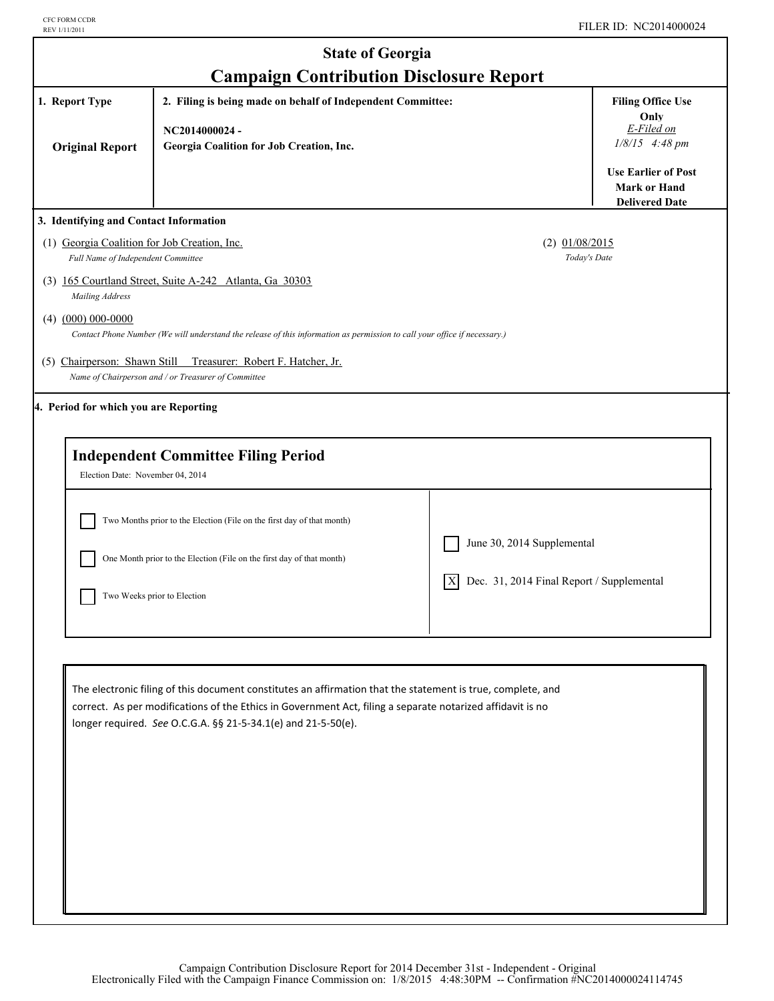| <b>State of Georgia</b>                                                                                                                                     |                                                                                                                                                                                                                                                                                            |                                                 |                                                                                                                      |
|-------------------------------------------------------------------------------------------------------------------------------------------------------------|--------------------------------------------------------------------------------------------------------------------------------------------------------------------------------------------------------------------------------------------------------------------------------------------|-------------------------------------------------|----------------------------------------------------------------------------------------------------------------------|
| <b>Campaign Contribution Disclosure Report</b><br>1. Report Type<br>2. Filing is being made on behalf of Independent Committee:<br><b>Filing Office Use</b> |                                                                                                                                                                                                                                                                                            |                                                 |                                                                                                                      |
| <b>Original Report</b>                                                                                                                                      | NC2014000024-<br>Georgia Coalition for Job Creation, Inc.                                                                                                                                                                                                                                  |                                                 | Only<br>E-Filed on<br>$1/8/15$ 4:48 pm<br><b>Use Earlier of Post</b><br><b>Mark or Hand</b><br><b>Delivered Date</b> |
| 3. Identifying and Contact Information                                                                                                                      |                                                                                                                                                                                                                                                                                            |                                                 |                                                                                                                      |
| (1) Georgia Coalition for Job Creation, Inc.<br>Full Name of Independent Committee                                                                          |                                                                                                                                                                                                                                                                                            | $(2)$ $01/08/2015$<br>Today's Date              |                                                                                                                      |
| Mailing Address                                                                                                                                             | (3) 165 Courtland Street, Suite A-242 Atlanta, Ga 30303                                                                                                                                                                                                                                    |                                                 |                                                                                                                      |
| $(4)$ $(000)$ 000-0000                                                                                                                                      | Contact Phone Number (We will understand the release of this information as permission to call your office if necessary.)                                                                                                                                                                  |                                                 |                                                                                                                      |
|                                                                                                                                                             | (5) Chairperson: Shawn Still Treasurer: Robert F. Hatcher, Jr.<br>Name of Chairperson and / or Treasurer of Committee                                                                                                                                                                      |                                                 |                                                                                                                      |
| 4. Period for which you are Reporting                                                                                                                       |                                                                                                                                                                                                                                                                                            |                                                 |                                                                                                                      |
| Election Date: November 04, 2014                                                                                                                            | <b>Independent Committee Filing Period</b><br>Two Months prior to the Election (File on the first day of that month)<br>One Month prior to the Election (File on the first day of that month)                                                                                              | June 30, 2014 Supplemental                      |                                                                                                                      |
|                                                                                                                                                             | Two Weeks prior to Election                                                                                                                                                                                                                                                                | Dec. 31, 2014 Final Report / Supplemental<br> X |                                                                                                                      |
|                                                                                                                                                             | The electronic filing of this document constitutes an affirmation that the statement is true, complete, and<br>correct. As per modifications of the Ethics in Government Act, filing a separate notarized affidavit is no<br>longer required. See O.C.G.A. §§ 21-5-34.1(e) and 21-5-50(e). |                                                 |                                                                                                                      |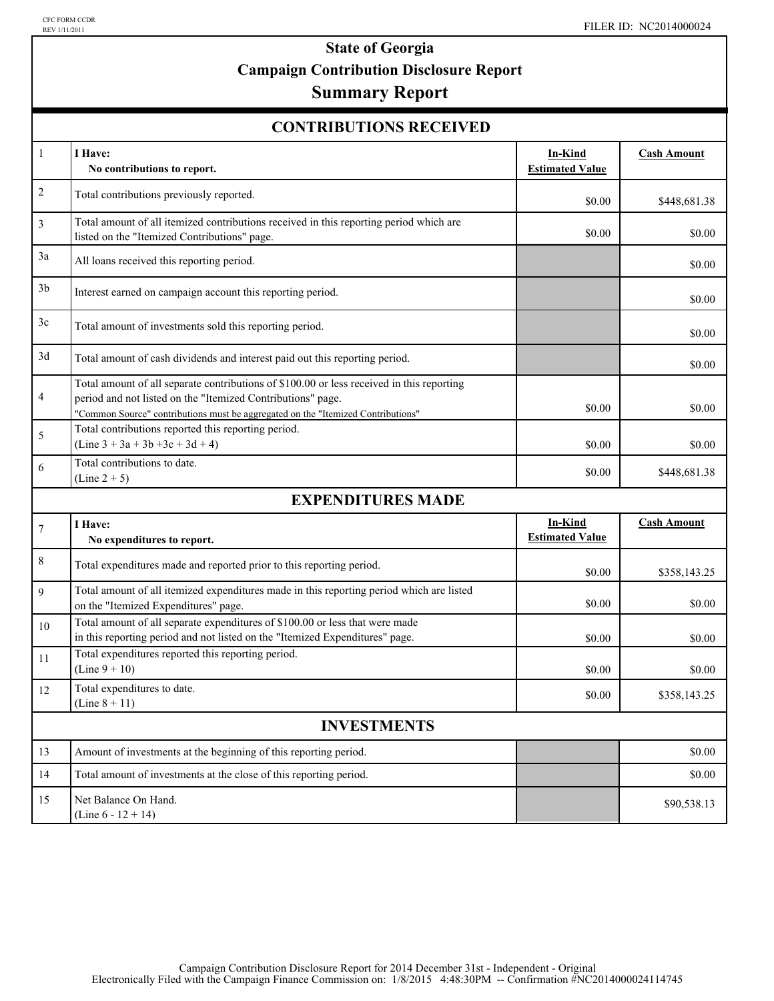# **State of Georgia Campaign Contribution Disclosure Report**

## **Summary Report**

#### **CONTRIBUTIONS RECEIVED**

| $\mathbf{1}$       | I Have:<br>No contributions to report.                                                                                                                                                                                                       | In-Kind<br><b>Estimated Value</b> | <b>Cash Amount</b> |  |
|--------------------|----------------------------------------------------------------------------------------------------------------------------------------------------------------------------------------------------------------------------------------------|-----------------------------------|--------------------|--|
| $\boldsymbol{2}$   | Total contributions previously reported.                                                                                                                                                                                                     | \$0.00                            | \$448,681.38       |  |
| $\mathfrak{Z}$     | Total amount of all itemized contributions received in this reporting period which are<br>listed on the "Itemized Contributions" page.                                                                                                       | \$0.00                            | \$0.00             |  |
| 3a                 | All loans received this reporting period.                                                                                                                                                                                                    |                                   | \$0.00             |  |
| 3 <sub>b</sub>     | Interest earned on campaign account this reporting period.                                                                                                                                                                                   |                                   | \$0.00             |  |
| 3c                 | Total amount of investments sold this reporting period.                                                                                                                                                                                      |                                   | \$0.00             |  |
| 3d                 | Total amount of cash dividends and interest paid out this reporting period.                                                                                                                                                                  |                                   | \$0.00             |  |
| 4                  | Total amount of all separate contributions of \$100.00 or less received in this reporting<br>period and not listed on the "Itemized Contributions" page.<br>"Common Source" contributions must be aggregated on the "Itemized Contributions" | \$0.00                            | \$0.00             |  |
| 5                  | Total contributions reported this reporting period.<br>$(Line 3 + 3a + 3b + 3c + 3d + 4)$                                                                                                                                                    | \$0.00                            | \$0.00             |  |
| 6                  | Total contributions to date.<br>$(Line 2 + 5)$                                                                                                                                                                                               | \$0.00                            | \$448,681.38       |  |
|                    | <b>EXPENDITURES MADE</b>                                                                                                                                                                                                                     |                                   |                    |  |
| $\tau$             | I Have:<br>No expenditures to report.                                                                                                                                                                                                        | In-Kind<br><b>Estimated Value</b> | <b>Cash Amount</b> |  |
| 8                  | Total expenditures made and reported prior to this reporting period.                                                                                                                                                                         | \$0.00                            | \$358,143.25       |  |
| 9                  | Total amount of all itemized expenditures made in this reporting period which are listed<br>on the "Itemized Expenditures" page.                                                                                                             | \$0.00                            | \$0.00             |  |
| 10                 | Total amount of all separate expenditures of \$100.00 or less that were made<br>in this reporting period and not listed on the "Itemized Expenditures" page.                                                                                 | \$0.00                            | \$0.00             |  |
| 11                 | Total expenditures reported this reporting period.<br>$(Line 9 + 10)$                                                                                                                                                                        | \$0.00                            | \$0.00             |  |
| 12                 | Total expenditures to date.<br>(Line $8 + 11$ )                                                                                                                                                                                              | \$0.00                            | \$358,143.25       |  |
| <b>INVESTMENTS</b> |                                                                                                                                                                                                                                              |                                   |                    |  |
| 13                 | Amount of investments at the beginning of this reporting period.                                                                                                                                                                             |                                   | \$0.00             |  |
| 14                 | Total amount of investments at the close of this reporting period.                                                                                                                                                                           |                                   | \$0.00             |  |
| 15                 | Net Balance On Hand.<br>(Line $6 - 12 + 14$ )                                                                                                                                                                                                |                                   | \$90,538.13        |  |